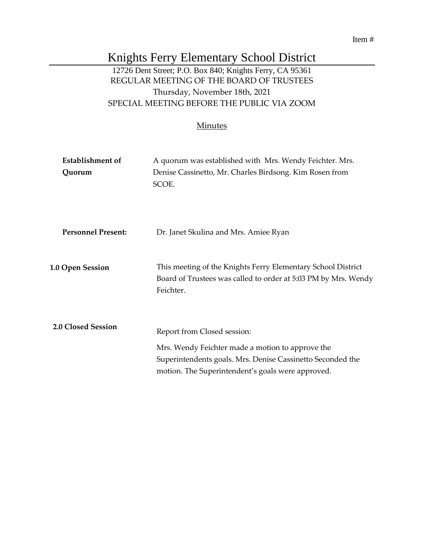Item #

# Knights Ferry Elementary School District

## 12726 Dent Street; P.O. Box 840; Knights Ferry, CA 95361 REGULAR MEETING OF THE BOARD OF TRUSTEES Thursday, November 18th, 2021 SPECIAL MEETING BEFORE THE PUBLIC VIA ZOOM

#### **Minutes**

| <b>Establishment of</b><br>Quorum | A quorum was established with Mrs. Wendy Feichter. Mrs.<br>Denise Cassinetto, Mr. Charles Birdsong. Kim Rosen from<br>SCOE.                                                                        |
|-----------------------------------|----------------------------------------------------------------------------------------------------------------------------------------------------------------------------------------------------|
| <b>Personnel Present:</b>         | Dr. Janet Skulina and Mrs. Amiee Ryan                                                                                                                                                              |
| <b>1.0 Open Session</b>           | This meeting of the Knights Ferry Elementary School District<br>Board of Trustees was called to order at 5:03 PM by Mrs. Wendy<br>Feichter.                                                        |
| 2.0 Closed Session                | Report from Closed session:<br>Mrs. Wendy Feichter made a motion to approve the<br>Superintendents goals. Mrs. Denise Cassinetto Seconded the<br>motion. The Superintendent's goals were approved. |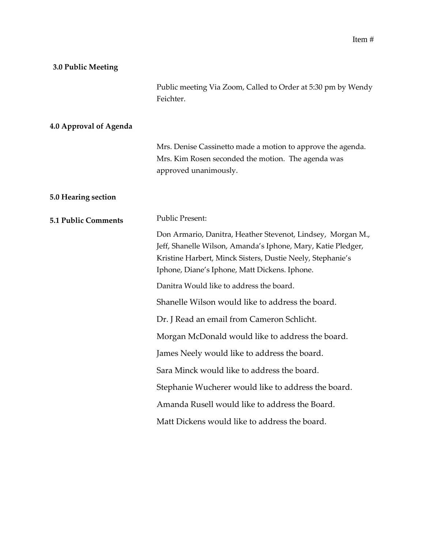## **3.0 Public Meeting**

|                            | Public meeting Via Zoom, Called to Order at 5:30 pm by Wendy<br>Feichter.                                                                                                                                                                  |
|----------------------------|--------------------------------------------------------------------------------------------------------------------------------------------------------------------------------------------------------------------------------------------|
| 4.0 Approval of Agenda     |                                                                                                                                                                                                                                            |
|                            | Mrs. Denise Cassinetto made a motion to approve the agenda.<br>Mrs. Kim Rosen seconded the motion. The agenda was<br>approved unanimously.                                                                                                 |
| 5.0 Hearing section        |                                                                                                                                                                                                                                            |
| <b>5.1 Public Comments</b> | <b>Public Present:</b>                                                                                                                                                                                                                     |
|                            | Don Armario, Danitra, Heather Stevenot, Lindsey, Morgan M.,<br>Jeff, Shanelle Wilson, Amanda's Iphone, Mary, Katie Pledger,<br>Kristine Harbert, Minck Sisters, Dustie Neely, Stephanie's<br>Iphone, Diane's Iphone, Matt Dickens. Iphone. |
|                            | Danitra Would like to address the board.                                                                                                                                                                                                   |
|                            | Shanelle Wilson would like to address the board.                                                                                                                                                                                           |
|                            | Dr. J Read an email from Cameron Schlicht.                                                                                                                                                                                                 |
|                            | Morgan McDonald would like to address the board.                                                                                                                                                                                           |
|                            | James Neely would like to address the board.                                                                                                                                                                                               |
|                            | Sara Minck would like to address the board.                                                                                                                                                                                                |
|                            | Stephanie Wucherer would like to address the board.                                                                                                                                                                                        |
|                            | Amanda Rusell would like to address the Board.                                                                                                                                                                                             |
|                            | Matt Dickens would like to address the board.                                                                                                                                                                                              |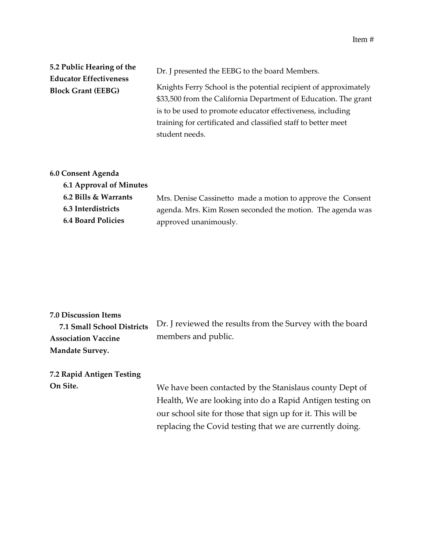Item #

| 5.2 Public Hearing of the                                  | Dr. J presented the EEBG to the board Members.                                                                                                                                                                                                                                       |
|------------------------------------------------------------|--------------------------------------------------------------------------------------------------------------------------------------------------------------------------------------------------------------------------------------------------------------------------------------|
| <b>Educator Effectiveness</b><br><b>Block Grant (EEBG)</b> | Knights Ferry School is the potential recipient of approximately<br>\$33,500 from the California Department of Education. The grant<br>is to be used to promote educator effectiveness, including<br>training for certificated and classified staff to better meet<br>student needs. |
|                                                            |                                                                                                                                                                                                                                                                                      |

## **6.0 Consent Agenda**

| <b>6.1 Approval of Minutes</b> |                                                             |
|--------------------------------|-------------------------------------------------------------|
| 6.2 Bills & Warrants           | Mrs. Denise Cassinetto made a motion to approve the Consent |
| 6.3 Interdistricts             | agenda. Mrs. Kim Rosen seconded the motion. The agenda was  |
| <b>6.4 Board Policies</b>      | approved unanimously.                                       |

| <b>7.0 Discussion Items</b><br>7.1 Small School Districts<br><b>Association Vaccine</b> | Dr. J reviewed the results from the Survey with the board<br>members and public. |
|-----------------------------------------------------------------------------------------|----------------------------------------------------------------------------------|
| <b>Mandate Survey.</b>                                                                  |                                                                                  |
| 7.2 Rapid Antigen Testing                                                               |                                                                                  |
| On Site.                                                                                | We have been contacted by the Stanislaus county Dept of                          |
|                                                                                         | Health, We are looking into do a Rapid Antigen testing on                        |
|                                                                                         | our school site for those that sign up for it. This will be                      |
|                                                                                         | replacing the Covid testing that we are currently doing.                         |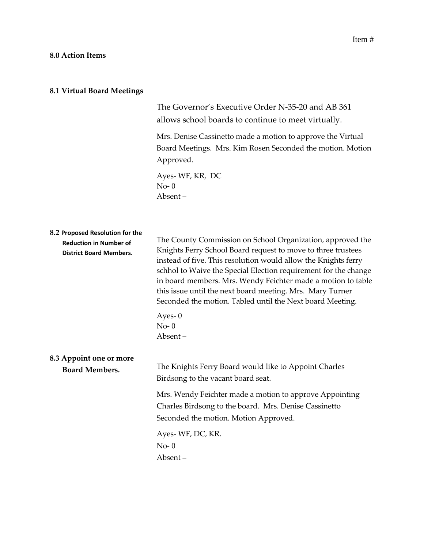The Governor's Executive Order N-35-20 and AB 361 allows school boards to continue to meet virtually.

Mrs. Denise Cassinetto made a motion to approve the Virtual Board Meetings. Mrs. Kim Rosen Seconded the motion. Motion Approved.

Ayes- WF, KR, DC No- 0 Absent –

| 8.2 Proposed Resolution for the<br><b>Reduction in Number of</b><br><b>District Board Members.</b> | The County Commission on School Organization, approved the<br>Knights Ferry School Board request to move to three trustees<br>instead of five. This resolution would allow the Knights ferry<br>schhol to Waive the Special Election requirement for the change<br>in board members. Mrs. Wendy Feichter made a motion to table<br>this issue until the next board meeting. Mrs. Mary Turner<br>Seconded the motion. Tabled until the Next board Meeting. |
|----------------------------------------------------------------------------------------------------|-----------------------------------------------------------------------------------------------------------------------------------------------------------------------------------------------------------------------------------------------------------------------------------------------------------------------------------------------------------------------------------------------------------------------------------------------------------|
|                                                                                                    | Ayes- $0$<br>$No-0$<br>Absent-                                                                                                                                                                                                                                                                                                                                                                                                                            |
| 8.3 Appoint one or more<br><b>Board Members.</b>                                                   | The Knights Ferry Board would like to Appoint Charles<br>Birdsong to the vacant board seat.                                                                                                                                                                                                                                                                                                                                                               |
|                                                                                                    | Mrs. Wendy Feichter made a motion to approve Appointing<br>Charles Birdsong to the board. Mrs. Denise Cassinetto<br>Seconded the motion. Motion Approved.                                                                                                                                                                                                                                                                                                 |
|                                                                                                    | Ayes-WF, DC, KR.<br>$No-0$<br>Absent-                                                                                                                                                                                                                                                                                                                                                                                                                     |